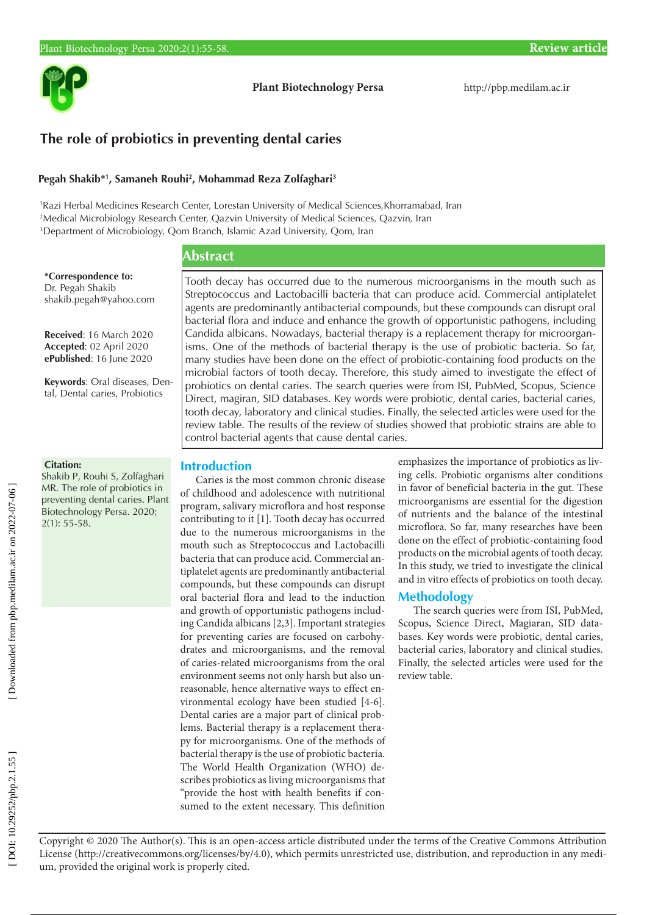

**Plant Biotechnology Persa** http://pbp.medilam.ac.ir

# **The role of probiotics in preventing dental caries**

#### **Pegah Shakib\* 1 , Samaneh Rouhi 2 , Mohammad Reza Zolfaghari 3**

1 Razi Herbal Medicines Research Center, Lorestan University of Medical Sciences,Khorramabad, Iran 2 Medical Microbiology Research Center, Qazvin University of Medical Sciences, Qazvin, Iran 3 Department of Microbiology, Qom Branch, Islamic Azad University, Qom, Iran

## **Abstract**

**\*Correspondence to:** Dr. Pegah Shakib shakib.pegah@yahoo.com

**Received**: 16 March 2020 **Accepted**: 02 April 2020 **ePublished**: 16 June 2020

**Keywords**: Oral diseases, Den tal, Dental caries, Probiotics

#### **Citation:**

Shakib P, Rouhi S, Zolfaghari MR. The role of probiotics in preventing dental caries. Plant Biotechnology Persa. 2020; 2(1): 55-58.

Tooth decay has occurred due to the numerous microorganisms in the mouth such as Streptococcus and Lactobacilli bacteria that can produce acid. Commercial antiplatelet agents are predominantly antibacterial compounds, but these compounds can disrupt oral bacterial flora and induce and enhance the growth of opportunistic pathogens, including Candida albicans. Nowadays, bacterial therapy is a replacement therapy for microorgan isms. One of the methods of bacterial therapy is the use of probiotic bacteria. So far, many studies have been done on the effect of probiotic-containing food products on the microbial factors of tooth decay. Therefore, this study aimed to investigate the effect of probiotics on dental caries. The search queries were from ISI, PubMed, Scopus, Science Direct, magiran, SID databases. Key words were probiotic, dental caries, bacterial caries, tooth decay, laboratory and clinical studies. Finally, the selected articles were used for the review table. The results of the review of studies showed that probiotic strains are able to control bacterial agents that cause dental caries.

### **Introduction**

Caries is the most common chronic disease of childhood and adolescence with nutritional program, salivary microflora and host response contributing to it [1]. Tooth decay has occurred due to the numerous microorganisms in the mouth such as Streptococcus and Lactobacilli bacteria that can produce acid. Commercial an tiplatelet agents are predominantly antibacterial compounds, but these compounds can disrupt oral bacterial flora and lead to the induction and growth of opportunistic pathogens includ ing Candida albicans [2,3]. Important strategies for preventing caries are focused on carbohy drates and microorganisms, and the removal of caries-related microorganisms from the oral environment seems not only harsh but also un reasonable, hence alternative ways to effect en vironmental ecology have been studied [4-6]. Dental caries are a major part of clinical prob lems. Bacterial therapy is a replacement thera py for microorganisms. One of the methods of bacterial therapy is the use of probiotic bacteria. The World Health Organization (WHO) de scribes probiotics as living microorganisms that "provide the host with health benefits if con sumed to the extent necessary. This definition

emphasizes the importance of probiotics as liv ing cells. Probiotic organisms alter conditions in favor of beneficial bacteria in the gut. These microorganisms are essential for the digestion of nutrients and the balance of the intestinal microflora. So far, many researches have been done on the effect of probiotic-containing food products on the microbial agents of tooth decay. In this study, we tried to investigate the clinical and in vitro effects of probiotics on tooth decay.

### **Methodology**

The search queries were from ISI, PubMed, Scopus, Science Direct, Magiaran, SID data bases. Key words were probiotic, dental caries, bacterial caries, laboratory and clinical studies. Finally, the selected articles were used for the review table.

Copyright © 2020 The Author(s). This is an open-access article distributed under the terms of the Creative Commons Attribution License (http://creativecommons.org/licenses/by/4.0), which permits unrestricted use, distribution, and reproduction in any medi um, provided the original work is properly cited.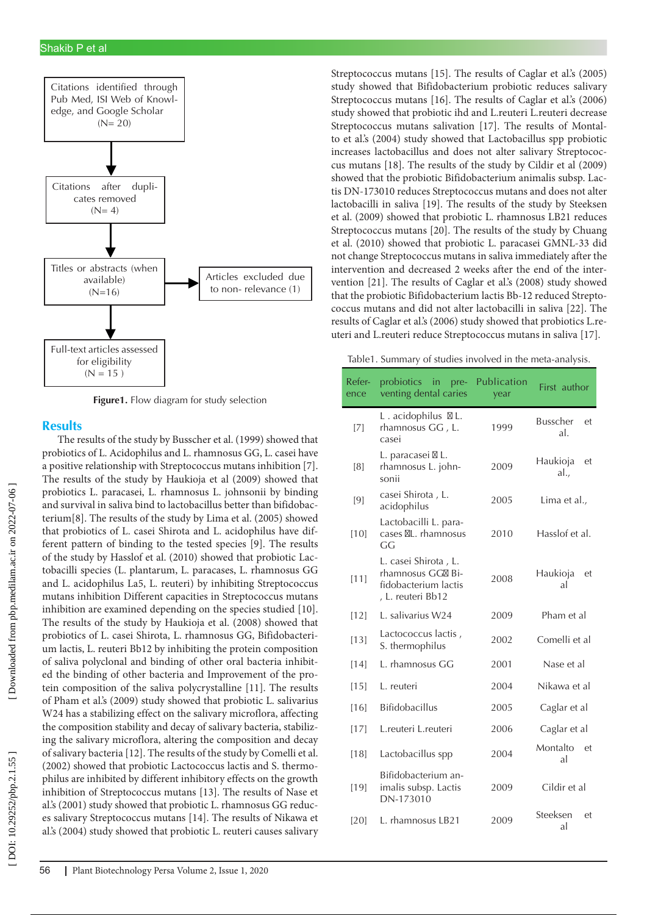

**Figure1.** Flow diagram for study selection

#### **Results**

The results of the study by Busscher et al. (1999) showed that probiotics of L. Acidophilus and L. rhamnosus GG, L. casei have a positive relationship with Streptococcus mutans inhibition [7]. The results of the study by Haukioja et al (2009) showed that probiotics L. paracasei, L. rhamnosus L. johnsonii by binding and survival in saliva bind to lactobacillus better than bifidobac terium[8]. The results of the study by Lima et al. (2005) showed that probiotics of L. casei Shirota and L. acidophilus have different pattern of binding to the tested species [9]. The results of the study by Hasslof et al. (2010) showed that probiotic Lac tobacilli species (L. plantarum, L. paracases, L. rhamnosus GG and L. acidophilus La5, L. reuteri) by inhibiting Streptococcus mutans inhibition Different capacities in Streptococcus mutans inhibition are examined depending on the species studied [10]. The results of the study by Haukioja et al. (2008) showed that probiotics of L. casei Shirota, L. rhamnosus GG, Bifidobacteri um lactis, L. reuteri Bb12 by inhibiting the protein composition of saliva polyclonal and binding of other oral bacteria inhibit ed the binding of other bacteria and Improvement of the pro tein composition of the saliva polycrystalline [11]. The results of Pham et al.'s (2009) study showed that probiotic L. salivarius W24 has a stabilizing effect on the salivary microflora, affecting the composition stability and decay of salivary bacteria, stabiliz ing the salivary microflora, altering the composition and decay of salivary bacteria [12]. The results of the study by Comelli et al. (2002) showed that probiotic Lactococcus lactis and S. thermo philus are inhibited by different inhibitory effects on the growth inhibition of Streptococcus mutans [13]. The results of Nase et al.'s (2001) study showed that probiotic L. rhamnosus GG reduc es salivary Streptococcus mutans [14]. The results of Nikawa et al.'s (2004) study showed that probiotic L. reuteri causes salivary

Streptococcus mutans [15]. The results of Caglar et al.'s (2005) study showed that Bifidobacterium probiotic reduces salivary Streptococcus mutans [16]. The results of Caglar et al.'s (2006) study showed that probiotic ihd and L.reuteri L.reuteri decrease Streptococcus mutans salivation [17]. The results of Montal to et al.'s (2004) study showed that Lactobacillus spp probiotic increases lactobacillus and does not alter salivary Streptococ cus mutans [18]. The results of the study by Cildir et al (2009) showed that the probiotic Bifidobacterium animalis subsp. Lac tis DN-173010 reduces Streptococcus mutans and does not alter lactobacilli in saliva [19]. The results of the study by Steeksen et al. (2009) showed that probiotic L. rhamnosus LB21 reduces Streptococcus mutans [20]. The results of the study by Chuang et al. (2010) showed that probiotic L. paracasei GMNL-33 did not change Streptococcus mutans in saliva immediately after the intervention and decreased 2 weeks after the end of the inter vention [21]. The results of Caglar et al.'s (2008) study showed that the probiotic Bifidobacterium lactis Bb-12 reduced Strepto coccus mutans and did not alter lactobacilli in saliva [22]. The results of Caglar et al.'s (2006) study showed that probiotics L.re uteri and L.reuteri reduce Streptococcus mutans in saliva [17].

Table1. Summary of studies involved in the meta-analysis.

| Refer-<br>ence | probiotics in pre-<br>venting dental caries                                            | Publication<br>year | First author                 |
|----------------|----------------------------------------------------------------------------------------|---------------------|------------------------------|
| [7]            | L. acidophilus L.<br>rhamnosus GG , L.<br>casei                                        | 1999                | <b>Busscher</b><br>et<br>al. |
| [8]            | L. paracasei L.<br>rhamnosus L. john-<br>sonii                                         | 2009                | Haukioja<br>et<br>al.,       |
| [9]            | casei Shirota, L.<br>acidophilus                                                       | 2005                | Lima et al.,                 |
| $[10]$         | Lactobacilli L. para-<br>cases L. rhamnosus<br>GG                                      | 2010                | Hasslof et al.               |
| [11]           | L. casei Shirota , L.<br>rhamnosus GG Bi-<br>fidobacterium lactis<br>, L. reuteri Bb12 | 2008                | Haukioja<br>et<br>al         |
| [12]           | L. salivarius W24                                                                      | 2009                | Pham et al                   |
| $[13]$         | Lactococcus lactis,<br>S. thermophilus                                                 | 2002                | Comelli et al                |
| [14]           | L. rhamnosus GG                                                                        | 2001                | Nase et al                   |
| $[15]$         | L. reuteri                                                                             | 2004                | Nikawa et al                 |
| [16]           | <b>Bifidobacillus</b>                                                                  | 2005                | Caglar et al                 |
| [17]           | L.reuteri L.reuteri                                                                    | 2006                | Caglar et al                 |
| $[18]$         | Lactobacillus spp                                                                      | 2004                | Montalto<br>et<br>al         |
| [19]           | Bifidobacterium an-<br>imalis subsp. Lactis<br>DN-173010                               | 2009                | Cildir et al                 |
| [20]           | L. rhamnosus LB21                                                                      | 2009                | Steeksen<br>et<br>al         |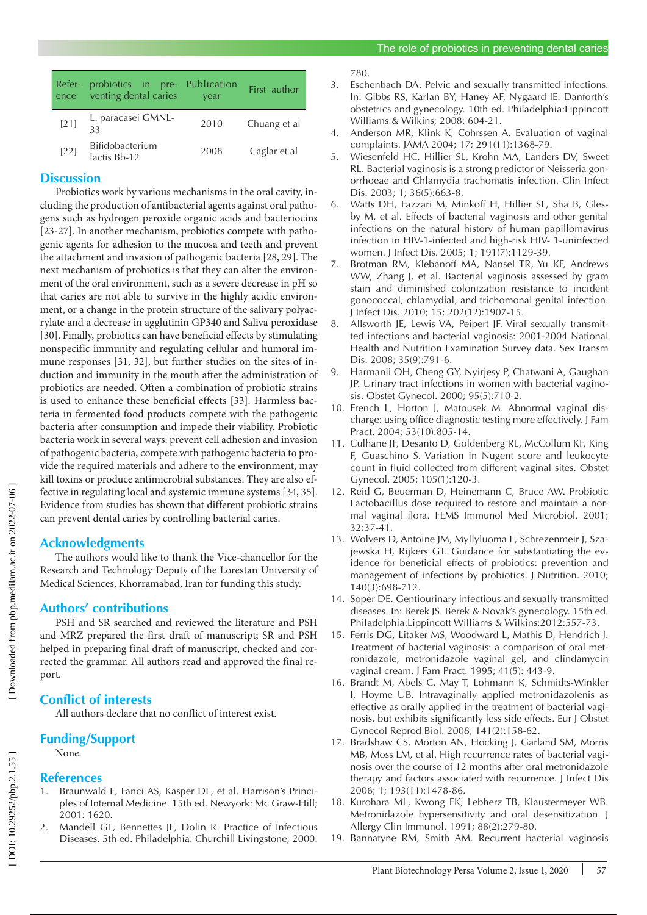| Refer-<br>ence | probiotics in pre- Publication<br>venting dental caries | vear | First author |
|----------------|---------------------------------------------------------|------|--------------|
| $[21]$         | L. paracasei GMNL-<br>33                                | 2010 | Chuang et al |
| $[22]$         | Bifidobacterium<br>lactis Bb-12                         | 2008 | Caglar et al |

### **Discussion**

Probiotics work by various mechanisms in the oral cavity, in cluding the production of antibacterial agents against oral patho gens such as hydrogen peroxide organic acids and bacteriocins [23-27]. In another mechanism, probiotics compete with pathogenic agents for adhesion to the mucosa and teeth and prevent the attachment and invasion of pathogenic bacteria [28, 29]. The next mechanism of probiotics is that they can alter the environ ment of the oral environment, such as a severe decrease in pH so that caries are not able to survive in the highly acidic environ ment, or a change in the protein structure of the salivary polyac rylate and a decrease in agglutinin GP340 and Saliva peroxidase [30]. Finally, probiotics can have beneficial effects by stimulating nonspecific immunity and regulating cellular and humoral im mune responses [31, 32], but further studies on the sites of in duction and immunity in the mouth after the administration of probiotics are needed. Often a combination of probiotic strains is used to enhance these beneficial effects [33]. Harmless bac teria in fermented food products compete with the pathogenic bacteria after consumption and impede their viability. Probiotic bacteria work in several ways: prevent cell adhesion and invasion of pathogenic bacteria, compete with pathogenic bacteria to pro vide the required materials and adhere to the environment, may kill toxins or produce antimicrobial substances. They are also effective in regulating local and systemic immune systems [34, 35]. Evidence from studies has shown that different probiotic strains can prevent dental caries by controlling bacterial caries.

### **Acknowledgments**

The authors would like to thank the Vice-chancellor for the Research and Technology Deputy of the Lorestan University of Medical Sciences, Khorramabad, Iran for funding this study.

#### **Authors' contributions**

PSH and SR searched and reviewed the literature and PSH and MRZ prepared the first draft of manuscript; SR and PSH helped in preparing final draft of manuscript, checked and cor rected the grammar. All authors read and approved the final re port.

### **Conflict of interests**

All authors declare that no conflict of interest exist.

# **Funding/Support**

None.

#### **References**

- 1. Braunwald E, Fanci AS, Kasper DL, et al. Harrison's Princi ples of Internal Medicine. 15th ed. Newyork: Mc Graw-Hill; 2001: 1620.
- 2. Mandell GL, Bennettes JE, Dolin R. Practice of Infectious Diseases. 5th ed. Philadelphia: Churchill Livingstone; 2000:

780.

- 3. Eschenbach DA. Pelvic and sexually transmitted infections. In: Gibbs RS, Karlan BY, Haney AF, Nygaard IE. Danforth's obstetrics and gynecology. 10th ed. Philadelphia:Lippincott Williams & Wilkins; 2008: 604-21.
- 4. Anderson MR, Klink K, Cohrssen A. Evaluation of vaginal complaints. JAMA 2004; 17; 291(11):1368-79.
- 5. Wiesenfeld HC, Hillier SL, Krohn MA, Landers DV, Sweet RL. Bacterial vaginosis is a strong predictor of Neisseria gon orrhoeae and Chlamydia trachomatis infection. Clin Infect Dis. 2003; 1; 36(5):663-8.
- 6. Watts DH, Fazzari M, Minkoff H, Hillier SL, Sha B, Gles by M, et al. Effects of bacterial vaginosis and other genital infections on the natural history of human papillomavirus infection in HIV-1-infected and high-risk HIV- 1-uninfected women. J Infect Dis. 2005; 1; 191(7):1129-39.
- 7. Brotman RM, Klebanoff MA, Nansel TR, Yu KF, Andrews WW, Zhang J, et al. Bacterial vaginosis assessed by gram stain and diminished colonization resistance to incident gonococcal, chlamydial, and trichomonal genital infection. J Infect Dis. 2010; 15; 202(12):1907-15.
- 8. Allsworth JE, Lewis VA, Peipert JF. Viral sexually transmit ted infections and bacterial vaginosis: 2001-2004 National Health and Nutrition Examination Survey data. Sex Transm Dis. 2008; 35(9):791-6.
- 9. Harmanli OH, Cheng GY, Nyirjesy P, Chatwani A, Gaughan JP. Urinary tract infections in women with bacterial vagino sis. Obstet Gynecol. 2000; 95(5):710-2.
- 10. French L, Horton J, Matousek M. Abnormal vaginal dis charge: using office diagnostic testing more effectively. J Fam Pract. 2004; 53(10):805-14.
- 11. Culhane JF, Desanto D, Goldenberg RL, McCollum KF, King F, Guaschino S. Variation in Nugent score and leukocyte count in fluid collected from different vaginal sites. Obstet Gynecol. 2005; 105(1):120-3.
- 12. Reid G, Beuerman D, Heinemann C, Bruce AW. Probiotic Lactobacillus dose required to restore and maintain a nor mal vaginal flora. FEMS Immunol Med Microbiol. 2001; 32:37-41.
- 13. Wolvers D, Antoine JM, Myllyluoma E, Schrezenmeir J, Sza jewska H, Rijkers GT. Guidance for substantiating the ev idence for beneficial effects of probiotics: prevention and management of infections by probiotics. J Nutrition. 2010; 140(3):698-712.
- 14. Soper DE. Gentiourinary infectious and sexually transmitted diseases. In: Berek JS. Berek & Novak's gynecology. 15th ed. Philadelphia:Lippincott Williams & Wilkins;2012:557-73.
- 15. Ferris DG, Litaker MS, Woodward L, Mathis D, Hendrich J. Treatment of bacterial vaginosis: a comparison of oral met ronidazole, metronidazole vaginal gel, and clindamycin vaginal cream. J Fam Pract. 1995; 41(5): 443-9.
- 16. Brandt M, Abels C, May T, Lohmann K, Schmidts-Winkler I, Hoyme UB. Intravaginally applied metronidazolenis as effective as orally applied in the treatment of bacterial vagi nosis, but exhibits significantly less side effects. Eur J Obstet Gynecol Reprod Biol. 2008; 141(2):158-62.
- 17. Bradshaw CS, Morton AN, Hocking J, Garland SM, Morris MB, Moss LM, et al. High recurrence rates of bacterial vagi nosis over the course of 12 months after oral metronidazole therapy and factors associated with recurrence. J Infect Dis 2006; 1; 193(11):1478-86.
- 18. Kurohara ML, Kwong FK, Lebherz TB, Klaustermeyer WB. Metronidazole hypersensitivity and oral desensitization. J Allergy Clin Immunol. 1991; 88(2):279-80.
- 19. Bannatyne RM, Smith AM. Recurrent bacterial vaginosis